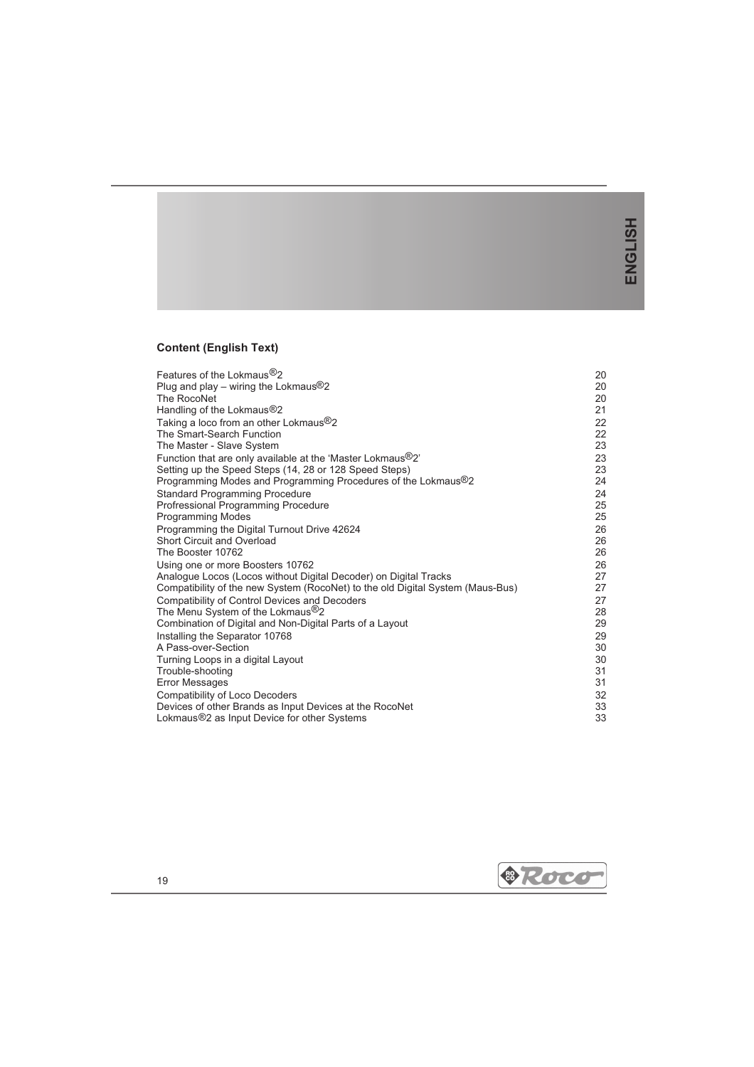# **Content (English Text)**

| Features of the Lokmaus <sup>®</sup> 2                                                           | 20       |
|--------------------------------------------------------------------------------------------------|----------|
| Plug and play – wiring the Lokmaus <sup>®2</sup>                                                 | 20       |
| The RocoNet                                                                                      | 20       |
| Handling of the Lokmaus <sup>®2</sup>                                                            | 21       |
| Taking a loco from an other Lokmaus <sup>®</sup> 2                                               | 22       |
| The Smart-Search Function                                                                        | 22       |
| The Master - Slave System                                                                        | 23       |
| Function that are only available at the 'Master Lokmaus <sup>®</sup> 2'                          | 23       |
| Setting up the Speed Steps (14, 28 or 128 Speed Steps)                                           | 23       |
| Programming Modes and Programming Procedures of the Lokmaus®2                                    | 24       |
| <b>Standard Programming Procedure</b>                                                            | 24       |
| Profressional Programming Procedure                                                              | 25       |
| <b>Programming Modes</b>                                                                         | 25       |
| Programming the Digital Turnout Drive 42624                                                      | 26       |
| Short Circuit and Overload                                                                       | 26       |
| The Booster 10762                                                                                | 26       |
| Using one or more Boosters 10762                                                                 | 26       |
| Analogue Locos (Locos without Digital Decoder) on Digital Tracks                                 | 27       |
| Compatibility of the new System (RocoNet) to the old Digital System (Maus-Bus)                   | 27       |
| Compatibility of Control Devices and Decoders                                                    | 27       |
| The Menu System of the Lokmaus <sup>®</sup> 2                                                    | 28<br>29 |
| Combination of Digital and Non-Digital Parts of a Layout                                         |          |
| Installing the Separator 10768                                                                   | 29       |
| A Pass-over-Section                                                                              | 30       |
| Turning Loops in a digital Layout                                                                | 30       |
| Trouble-shooting                                                                                 | 31<br>31 |
| Error Messages                                                                                   | 32       |
| <b>Compatibility of Loco Decoders</b><br>Devices of other Brands as Input Devices at the RocoNet | 33       |
| Lokmaus <sup>®</sup> 2 as Input Device for other Systems                                         | 33       |
|                                                                                                  |          |

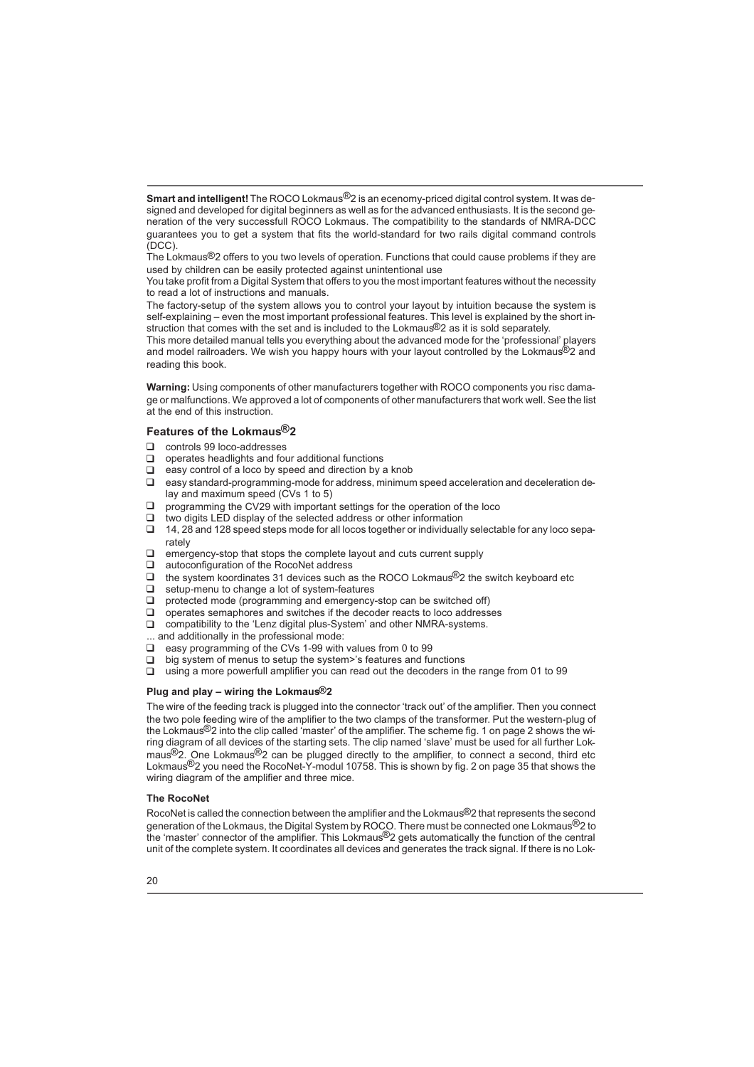The Lokmaus®2 offers to you two levels of operation. Functions that could cause problems if they are used by children can be easily protected against unintentional use

You take profit from a Digital System that offers to you the most important features without the necessity to read a lot of instructions and manuals.

The factory-setup of the system allows you to control your layout by intuition because the system is self-explaining – even the most important professional features. This level is explained by the short instruction that comes with the set and is included to the Lokmaus<sup>®</sup>2 as it is sold separately.

This more detailed manual tells you everything about the advanced mode for the 'professional' players and model railroaders. We wish you happy hours with your layout controlled by the Lokmaus<sup>®</sup>2 and reading this book.

**Warning:** Using components of other manufacturers together with ROCO components you risc damage or malfunctions. We approved a lot of components of other manufacturers that work well. See the list at the end of this instruction.

### **Features of the Lokmaus®2**

- □ controls 99 loco-addresses
- $\Box$  operates headlights and four additional functions
- $\Box$  easy control of a loco by speed and direction by a knob
- $\Box$  easy standard-programming-mode for address, minimum speed acceleration and deceleration delay and maximum speed (CVs 1 to 5)
- $\Box$  programming the CV29 with important settings for the operation of the loco  $\Box$  two digits LED display of the selected address or other information
- 
- 14, 28 and 128 speed steps mode for all locos together or individually selectable for any loco separately
- $\Box$  emergency-stop that stops the complete layout and cuts current supply
- $\Box$  autoconfiguration of the RocoNet address<br> $\Box$  the system koordinates 31 devices such a
- **□** the system koordinates 31 devices such as the ROCO Lokmaus<sup>®</sup>2 the switch keyboard etc <br>□ setup-menu to change a lot of system-features
- $\Box$  setup-menu to change a lot of system-features<br> $\Box$  protected mode (programming and emergency
- protected mode (programming and emergency-stop can be switched off)
- $\Box$  operates semaphores and switches if the decoder reacts to loco addresses
- □ compatibility to the 'Lenz digital plus-System' and other NMRA-systems.
- ... and additionally in the professional mode:<br> $\Box$  easy programming of the CVs 1-99 with
- easy programming of the CVs 1-99 with values from 0 to 99
- $\Box$  big system of menus to setup the system>'s features and functions
- $\Box$  using a more powerfull amplifier you can read out the decoders in the range from 01 to 99

#### **Plug and play – wiring the Lokmaus®2**

The wire of the feeding track is plugged into the connector 'track out' of the amplifier. Then you connect the two pole feeding wire of the amplifier to the two clamps of the transformer. Put the western-plug of the Lokmaus<sup>®</sup>2 into the clip called 'master' of the amplifier. The scheme fig. 1 on page 2 shows the wiring diagram of all devices of the starting sets. The clip named 'slave' must be used for all further Lokmaus<sup>®</sup>2. One Lokmaus<sup>®</sup>2 can be plugged directly to the amplifier, to connect a second, third etc Lokmaus<sup>®</sup>2 you need the RocoNet-Y-modul 10758. This is shown by fig. 2 on page 35 that shows the wiring diagram of the amplifier and three mice.

#### **The RocoNet**

RocoNet is called the connection between the amplifier and the Lokmaus®2 that represents the second generation of the Lokmaus, the Digital System by ROCO. There must be connected one Lokmaus®2 to the 'master' connector of the amplifier. This Lokmaus®2 gets automatically the function of the central unit of the complete system. It coordinates all devices and generates the track signal. If there is no Lok-

**Smart and intelligent!**The ROCO Lokmaus®2 is an ecenomy-priced digital control system. It was designed and developed for digital beginners as well as for the advanced enthusiasts. It is the second generation of the very successfull ROCO Lokmaus. The compatibility to the standards of NMRA-DCC guarantees you to get a system that fits the world-standard for two rails digital command controls (DCC).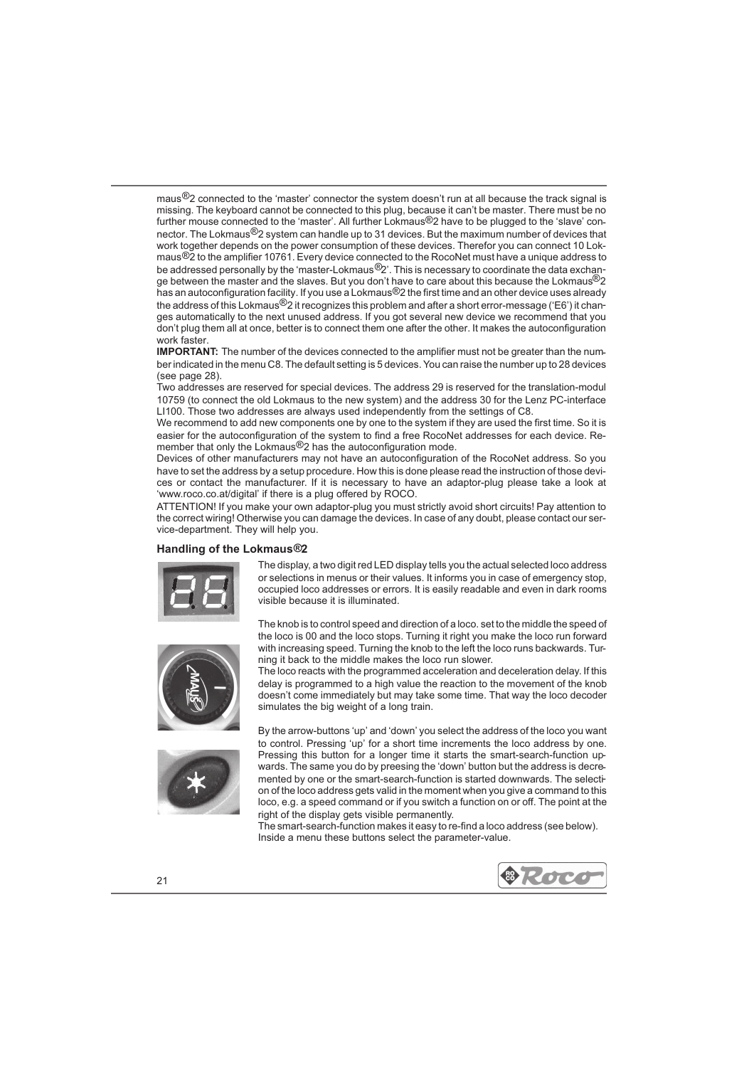maus<sup>®</sup>2 connected to the 'master' connector the system doesn't run at all because the track signal is missing. The keyboard cannot be connected to this plug, because it can't be master. There must be no further mouse connected to the 'master'. All further Lokmaus®2 have to be plugged to the 'slave' connector. The Lokmaus ${}^{@}$ 2 system can handle up to 31 devices. But the maximum number of devices that work together depends on the power consumption of these devices. Therefor you can connect 10 Lokmaus®2 to the amplifier 10761. Every device connected to the RocoNet must have a unique address to be addressed personally by the 'master-Lokmaus®2'. This is necessary to coordinate the data exchange between the master and the slaves. But you don't have to care about this because the Lokmaus®2 has an autoconfiguration facility. If you use a Lokmaus®2 the first time and an other device uses already the address of this Lokmaus®2 it recognizes this problem and after a short error-message ('E6') it changes automatically to the next unused address. If you got several new device we recommend that you don't plug them all at once, better is to connect them one after the other. It makes the autoconfiguration work faster.

**IMPORTANT:** The number of the devices connected to the amplifier must not be greater than the number indicated in the menu C8. The default setting is 5 devices. You can raise the number up to 28 devices (see page 28).

Two addresses are reserved for special devices. The address 29 is reserved for the translation-modul 10759 (to connect the old Lokmaus to the new system) and the address 30 for the Lenz PC-interface LI100. Those two addresses are always used independently from the settings of C8.

We recommend to add new components one by one to the system if they are used the first time. So it is easier for the autoconfiguration of the system to find a free RocoNet addresses for each device. Remember that only the Lokmaus<sup>®</sup>2 has the autoconfiguration mode.

Devices of other manufacturers may not have an autoconfiguration of the RocoNet address. So you have to set the address by a setup procedure. How this is done please read the instruction of those devices or contact the manufacturer. If it is necessary to have an adaptor-plug please take a look at 'www.roco.co.at/digital' if there is a plug offered by ROCO.

ATTENTION! If you make your own adaptor-plug you must strictly avoid short circuits! Pay attention to the correct wiring! Otherwise you can damage the devices. In case of any doubt, please contact our service-department. They will help you.

# **Handling of the Lokmaus®2**



The display, a two digit red LED display tells you the actual selected loco address or selections in menus or their values. It informs you in case of emergency stop, occupied loco addresses or errors. It is easily readable and even in dark rooms visible because it is illuminated.



The knob is to control speed and direction of a loco. set to the middle the speed of the loco is 00 and the loco stops. Turning it right you make the loco run forward with increasing speed. Turning the knob to the left the loco runs backwards. Turning it back to the middle makes the loco run slower.

The loco reacts with the programmed acceleration and deceleration delay. If this delay is programmed to a high value the reaction to the movement of the knob doesn't come immediately but may take some time. That way the loco decoder simulates the big weight of a long train.



By the arrow-buttons 'up' and 'down' you select the address of the loco you want to control. Pressing 'up' for a short time increments the loco address by one. Pressing this button for a longer time it starts the smart-search-function upwards. The same you do by preesing the 'down' button but the address is decremented by one or the smart-search-function is started downwards. The selection of the loco address gets valid in the moment when you give a command to this loco, e.g. a speed command or if you switch a function on or off. The point at the right of the display gets visible permanently.

The smart-search-function makes it easy to re-find a loco address (see below). Inside a menu these buttons select the parameter-value.

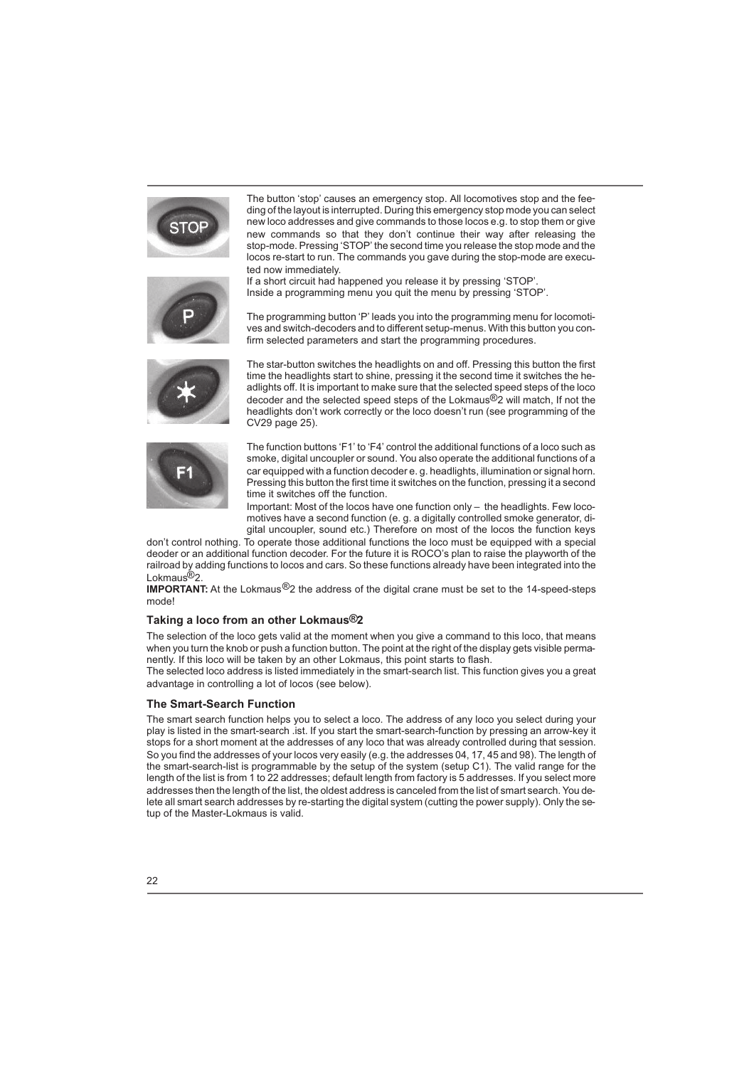

The button 'stop' causes an emergency stop. All locomotives stop and the feeding of the layout is interrupted. During this emergency stop mode you can select new loco addresses and give commands to those locos e.g. to stop them or give new commands so that they don't continue their way after releasing the stop-mode. Pressing 'STOP' the second time you release the stop mode and the locos re-start to run. The commands you gave during the stop-mode are executed now immediately.

If a short circuit had happened you release it by pressing 'STOP'. Inside a programming menu you quit the menu by pressing 'STOP'.

The programming button 'P' leads you into the programming menu for locomotives and switch-decoders and to different setup-menus. With this button you confirm selected parameters and start the programming procedures.



The star-button switches the headlights on and off. Pressing this button the first time the headlights start to shine, pressing it the second time it switches the headlights off. It is important to make sure that the selected speed steps of the loco decoder and the selected speed steps of the Lokmaus®2 will match, If not the headlights don't work correctly or the loco doesn't run (see programming of the CV29 page 25).



The function buttons 'F1' to 'F4' control the additional functions of a loco such as smoke, digital uncoupler or sound. You also operate the additional functions of a car equipped with a function decoder e. g. headlights, illumination or signal horn. Pressing this button the first time it switches on the function, pressing it a second time it switches off the function.

Important: Most of the locos have one function only – the headlights. Few locomotives have a second function (e. g. a digitally controlled smoke generator, digital uncoupler, sound etc.) Therefore on most of the locos the function keys

don't control nothing. To operate those additional functions the loco must be equipped with a special deoder or an additional function decoder. For the future it is ROCO's plan to raise the playworth of the railroad by adding functions to locos and cars. So these functions already have been integrated into the Lokmaus<sup>®</sup>2.

**IMPORTANT:** At the Lokmaus®2 the address of the digital crane must be set to the 14-speed-steps mode!

#### **Taking a loco from an other Lokmaus®2**

The selection of the loco gets valid at the moment when you give a command to this loco, that means when you turn the knob or push a function button. The point at the right of the display gets visible permanently. If this loco will be taken by an other Lokmaus, this point starts to flash.

The selected loco address is listed immediately in the smart-search list. This function gives you a great advantage in controlling a lot of locos (see below).

#### **The Smart-Search Function**

The smart search function helps you to select a loco. The address of any loco you select during your play is listed in the smart-search .ist. If you start the smart-search-function by pressing an arrow-key it stops for a short moment at the addresses of any loco that was already controlled during that session. So you find the addresses of your locos very easily (e.g. the addresses 04, 17, 45 and 98). The length of the smart-search-list is programmable by the setup of the system (setup C1). The valid range for the length of the list is from 1 to 22 addresses; default length from factory is 5 addresses. If you select more addresses then the length of the list, the oldest address is canceled from the list of smart search. You delete all smart search addresses by re-starting the digital system (cutting the power supply). Only the setup of the Master-Lokmaus is valid.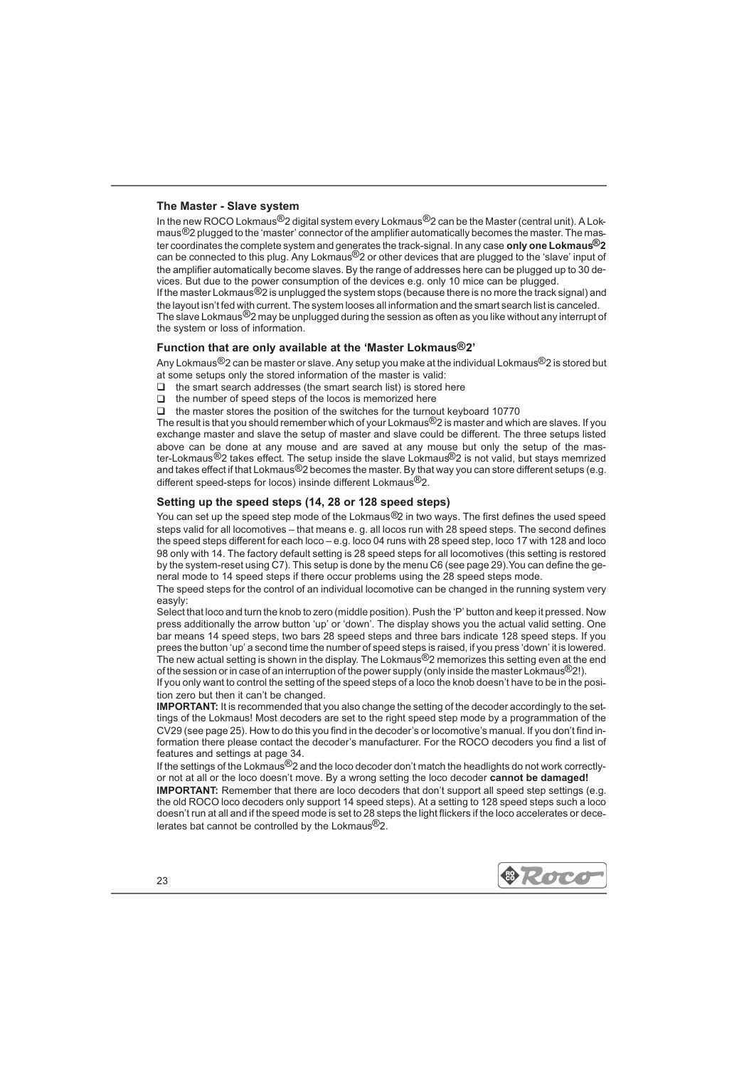# **The Master - Slave system**

In the new ROCO Lokmaus $@2$  digital system every Lokmaus $@2$  can be the Master (central unit). A Lokmaus®2 plugged to the 'master' connector of the amplifier automatically becomes the master. The master coordinates the complete system and generates the track-signal. In any case **only one Lokmaus®2** can be connected to this plug. Any Lokmaus<sup>®</sup>2 or other devices that are plugged to the 'slave' input of the amplifier automatically become slaves. By the range of addresses here can be plugged up to 30 devices. But due to the power consumption of the devices e.g. only 10 mice can be plugged. If the master Lokmaus®2 is unplugged the system stops (because there is no more the track signal) and the layout isn't fed with current. The system looses all information and the smart search list is canceled.

The slave Lokmaus®2 may be unplugged during the session as often as you like without any interrupt of the system or loss of information.

#### **Function that are only available at the 'Master Lokmaus®2'**

Any Lokmaus<sup>®</sup>2 can be master or slave. Any setup you make at the individual Lokmaus<sup>®</sup>2 is stored but at some setups only the stored information of the master is valid:

- $\Box$  the smart search addresses (the smart search list) is stored here  $\Box$  the number of speed steps of the locos is memorized here
- the number of speed steps of the locos is memorized here
- $\Box$  the master stores the position of the switches for the turnout keyboard 10770

The result is that you should remember which of your Lokmaus $@2$  is master and which are slaves. If you exchange master and slave the setup of master and slave could be different. The three setups listed above can be done at any mouse and are saved at any mouse but only the setup of the master-Lokmaus<sup>®</sup>2 takes effect. The setup inside the slave Lokmaus<sup>®</sup>2 is not valid, but stays memrized and takes effect if that Lokmaus<sup>®</sup>2 becomes the master. By that way you can store different setups (e.g. different speed-steps for locos) insinde different Lokmaus®2.

# **Setting up the speed steps (14, 28 or 128 speed steps)**

You can set up the speed step mode of the Lokmaus®2 in two ways. The first defines the used speed steps valid for all locomotives – that means e. g. all locos run with 28 speed steps. The second defines the speed steps different for each loco – e.g. loco 04 runs with 28 speed step, loco 17 with 128 and loco 98 only with 14. The factory default setting is 28 speed steps for all locomotives (this setting is restored by the system-reset using C7). This setup is done by the menu C6 (see page 29).You can define the general mode to 14 speed steps if there occur problems using the 28 speed steps mode.

The speed steps for the control of an individual locomotive can be changed in the running system very easyly:

Select that loco and turn the knob to zero (middle position). Push the 'P' button and keep it pressed. Now press additionally the arrow button 'up' or 'down'. The display shows you the actual valid setting. One bar means 14 speed steps, two bars 28 speed steps and three bars indicate 128 speed steps. If you prees the button 'up' a second time the number of speed steps is raised, if you press 'down' it is lowered. The new actual setting is shown in the display. The Lokmaus<sup>®</sup>2 memorizes this setting even at the end of the session or in case of an interruption of the power supply (only inside the master Lokmaus®2!).

If you only want to control the setting of the speed steps of a loco the knob doesn't have to be in the position zero but then it can't be changed.

**IMPORTANT:** It is recommended that you also change the setting of the decoder accordingly to the settings of the Lokmaus! Most decoders are set to the right speed step mode by a programmation of the CV29 (see page 25). How to do this you find in the decoder's or locomotive's manual. If you don't find information there please contact the decoder's manufacturer. For the ROCO decoders you find a list of features and settings at page 34.

If the settings of the Lokmaus®2 and the loco decoder don't match the headlights do not work correctlyor not at all or the loco doesn't move. By a wrong setting the loco decoder **cannot be damaged!**

**IMPORTANT:** Remember that there are loco decoders that don't support all speed step settings (e.g. the old ROCO loco decoders only support 14 speed steps). At a setting to 128 speed steps such a loco doesn't run at all and if the speed mode is set to 28 steps the light flickers if the loco accelerates or decelerates bat cannot be controlled by the Lokmaus®2.

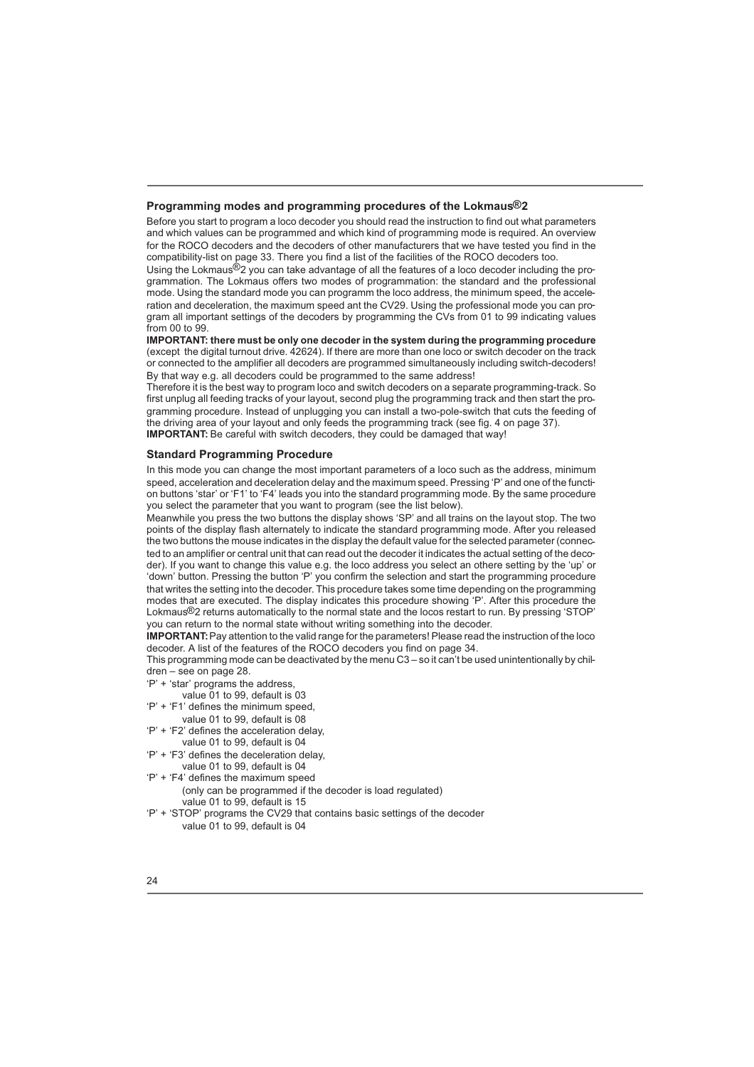#### **Programming modes and programming procedures of the Lokmaus®2**

Before you start to program a loco decoder you should read the instruction to find out what parameters and which values can be programmed and which kind of programming mode is required. An overview for the ROCO decoders and the decoders of other manufacturers that we have tested you find in the compatibility-list on page 33. There you find a list of the facilities of the ROCO decoders too.

Using the Lokmaus<sup>®</sup>2 you can take advantage of all the features of a loco decoder including the programmation. The Lokmaus offers two modes of programmation: the standard and the professional mode. Using the standard mode you can programm the loco address, the minimum speed, the acceleration and deceleration, the maximum speed ant the CV29. Using the professional mode you can program all important settings of the decoders by programming the CVs from 01 to 99 indicating values from 00 to 99.

**IMPORTANT: there must be only one decoder in the system during the programming procedure** (except the digital turnout drive. 42624). If there are more than one loco or switch decoder on the track or connected to the amplifier all decoders are programmed simultaneously including switch-decoders! By that way e.g. all decoders could be programmed to the same address!

Therefore it is the best way to program loco and switch decoders on a separate programming-track. So first unplug all feeding tracks of your layout, second plug the programming track and then start the programming procedure. Instead of unplugging you can install a two-pole-switch that cuts the feeding of the driving area of your layout and only feeds the programming track (see fig. 4 on page 37). **IMPORTANT:** Be careful with switch decoders, they could be damaged that way!

#### **Standard Programming Procedure**

In this mode you can change the most important parameters of a loco such as the address, minimum speed, acceleration and deceleration delay and the maximum speed. Pressing 'P' and one of the function buttons 'star' or 'F1' to 'F4' leads you into the standard programming mode. By the same procedure you select the parameter that you want to program (see the list below).

Meanwhile you press the two buttons the display shows 'SP' and all trains on the layout stop. The two points of the display flash alternately to indicate the standard programming mode. After you released the two buttons the mouse indicates in the display the default value for the selected parameter (connected to an amplifier or central unit that can read out the decoder it indicates the actual setting of the decoder). If you want to change this value e.g. the loco address you select an othere setting by the 'up' or 'down' button. Pressing the button 'P' you confirm the selection and start the programming procedure that writes the setting into the decoder. This procedure takes some time depending on the programming modes that are executed. The display indicates this procedure showing 'P'. After this procedure the Lokmaus®2 returns automatically to the normal state and the locos restart to run. By pressing 'STOP' you can return to the normal state without writing something into the decoder.

**IMPORTANT:**Pay attention to the valid range for the parameters! Please read the instruction of the loco decoder. A list of the features of the ROCO decoders you find on page 34.

This programming mode can be deactivated by the menu C3 – so it can't be used unintentionally by children – see on page 28.

'P' + 'star' programs the address

value 01 to 99, default is 03

- 'P' + 'F1' defines the minimum speed,
	- value 01 to 99, default is 08
- 'P' + 'F2' defines the acceleration delay,
- value 01 to 99, default is 04
- 'P' + 'F3' defines the deceleration delay,
- value 01 to 99, default is 04
- 'P' + 'F4' defines the maximum speed

(only can be programmed if the decoder is load regulated)

- value 01 to 99, default is 15
- 'P' + 'STOP' programs the CV29 that contains basic settings of the decoder value 01 to 99, default is 04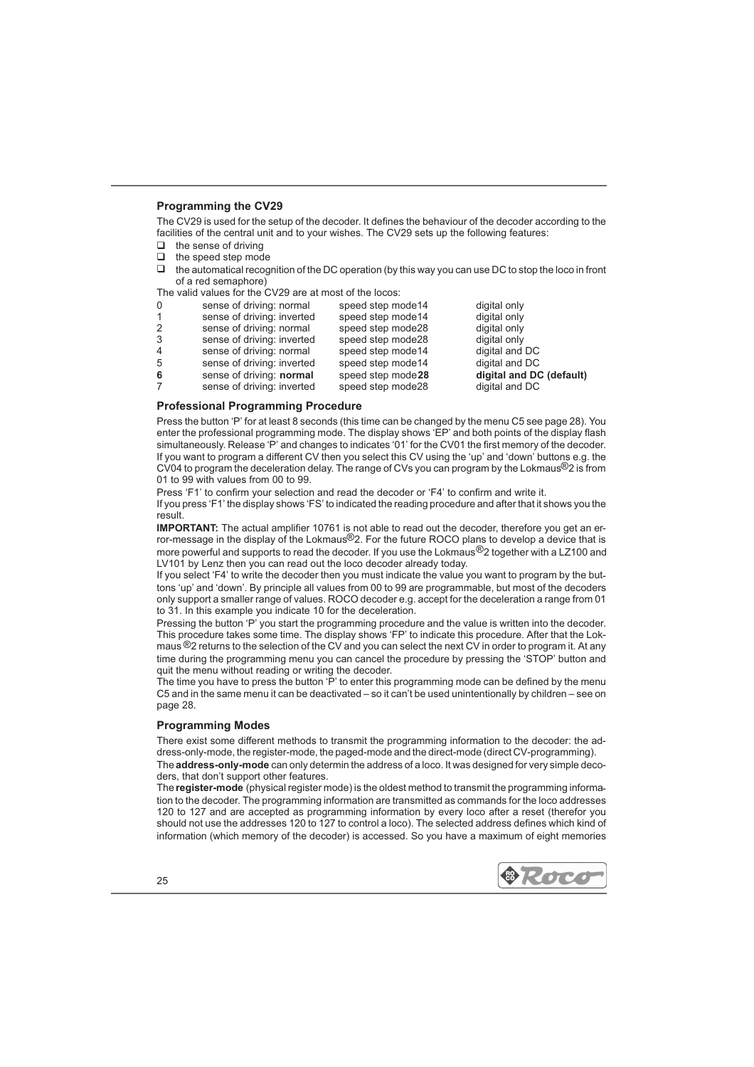## **Programming the CV29**

The CV29 is used for the setup of the decoder. It defines the behaviour of the decoder according to the facilities of the central unit and to your wishes. The CV29 sets up the following features:

- $\Box$  the sense of driving
- $\Box$  the speed step mode
- $\Box$  the automatical recognition of the DC operation (by this way you can use DC to stop the loco in front of a red semaphore)

The valid values for the CV29 are at most of the locos:

| $\Omega$       | sense of driving: normal   | speed step mode14  | digital only             |
|----------------|----------------------------|--------------------|--------------------------|
|                | sense of driving: inverted | speed step mode14  | digital only             |
| 2              | sense of driving: normal   | speed step mode28  | digital only             |
| 3              | sense of driving: inverted | speed step mode28  | digital only             |
| $\overline{4}$ | sense of driving: normal   | speed step mode14  | digital and DC           |
| 5              | sense of driving: inverted | speed step mode14  | digital and DC           |
| 6              | sense of driving: normal   | speed step mode 28 | digital and DC (default) |
| $\overline{7}$ | sense of driving: inverted | speed step mode28  | digital and DC           |

# **Professional Programming Procedure**

Press the button 'P' for at least 8 seconds (this time can be changed by the menu C5 see page 28). You enter the professional programming mode. The display shows 'EP' and both points of the display flash simultaneously. Release 'P' and changes to indicates '01' for the CV01 the first memory of the decoder. If you want to program a different CV then you select this CV using the 'up' and 'down' buttons e.g. the CV04 to program the deceleration delay. The range of CVs you can program by the Lokmaus®2 is from 01 to 99 with values from 00 to 99.

Press 'F1' to confirm your selection and read the decoder or 'F4' to confirm and write it.

If you press 'F1' the display shows 'FS' to indicated the reading procedure and after that it shows you the result.

**IMPORTANT:** The actual amplifier 10761 is not able to read out the decoder, therefore you get an er-<br>ror-message in the display of the Lokmaus<sup>®</sup>2. For the future ROCO plans to develop a device that is more powerful and supports to read the decoder. If you use the Lokmaus®2 together with a LZ100 and LV101 by Lenz then you can read out the loco decoder already today.

If you select 'F4' to write the decoder then you must indicate the value you want to program by the buttons 'up' and 'down'. By principle all values from 00 to 99 are programmable, but most of the decoders only support a smaller range of values. ROCO decoder e.g. accept for the deceleration a range from 01 to 31. In this example you indicate 10 for the deceleration.

Pressing the button 'P' you start the programming procedure and the value is written into the decoder. This procedure takes some time. The display shows 'FP' to indicate this procedure. After that the Lokmaus ®2 returns to the selection of the CV and you can select the next CV in order to program it. At any time during the programming menu you can cancel the procedure by pressing the 'STOP' button and quit the menu without reading or writing the decoder.

The time you have to press the button 'P' to enter this programming mode can be defined by the menu C5 and in the same menu it can be deactivated – so it can't be used unintentionally by children – see on page 28.

## **Programming Modes**

There exist some different methods to transmit the programming information to the decoder: the address-only-mode, the register-mode, the paged-mode and the direct-mode (direct CV-programming). The **address-only-mode** can only determin the address of a loco. It was designed for very simple decoders, that don't support other features.

The **register-mode** (physical register mode) is the oldest method to transmit the programming information to the decoder. The programming information are transmitted as commands for the loco addresses 120 to 127 and are accepted as programming information by every loco after a reset (therefor you should not use the addresses 120 to 127 to control a loco). The selected address defines which kind of information (which memory of the decoder) is accessed. So you have a maximum of eight memories

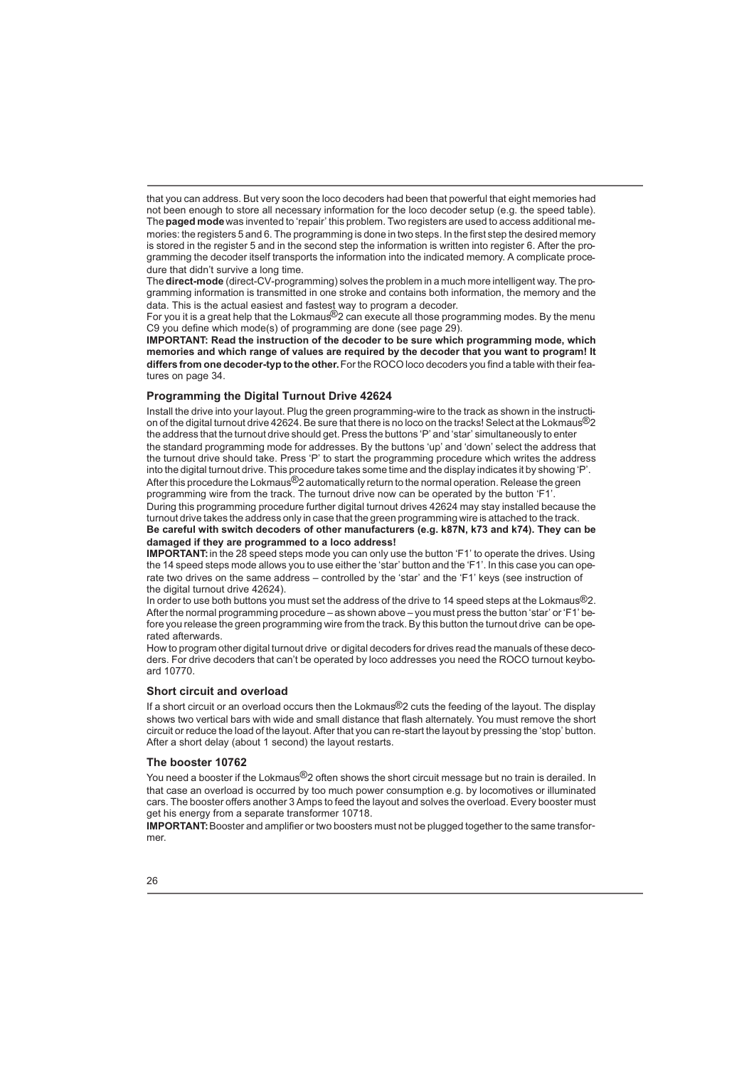that you can address. But very soon the loco decoders had been that powerful that eight memories had not been enough to store all necessary information for the loco decoder setup (e.g. the speed table). The**paged mode**was invented to 'repair' this problem. Two registers are used to access additional memories: the registers 5 and 6. The programming is done in two steps. In the first step the desired memory is stored in the register 5 and in the second step the information is written into register 6. After the programming the decoder itself transports the information into the indicated memory. A complicate procedure that didn't survive a long time.

The**direct-mode** (direct-CV-programming) solves the problem in a much more intelligent way. The programming information is transmitted in one stroke and contains both information, the memory and the data. This is the actual easiest and fastest way to program a decoder.

For you it is a great help that the Lokmaus<sup>®</sup>2 can execute all those programming modes. By the menu C9 you define which mode(s) of programming are done (see page 29).

**IMPORTANT: Read the instruction of the decoder to be sure which programming mode, which memories and which range of values are required by the decoder that you want to program! It differs from one decoder-typ to the other.**For the ROCO loco decoders you find a table with their features on page 34.

## **Programming the Digital Turnout Drive 42624**

Install the drive into your layout. Plug the green programming-wire to the track as shown in the instruction of the digital turnout drive 42624. Be sure that there is no loco on the tracks! Select at the Lokmaus®2 the address that the turnout drive should get. Press the buttons 'P' and 'star' simultaneously to enter the standard programming mode for addresses. By the buttons 'up' and 'down' select the address that the turnout drive should take. Press 'P' to start the programming procedure which writes the address into the digital turnout drive. This procedure takes some time and the display indicates it by showing 'P'. After this procedure the Lokmaus<sup>®</sup>2 automatically return to the normal operation. Release the green programming wire from the track. The turnout drive now can be operated by the button 'F1'.

During this programming procedure further digital turnout drives 42624 may stay installed because the turnout drive takes the address only in case that the green programming wire is attached to the track.

**Be careful with switch decoders of other manufacturers (e.g. k87N, k73 and k74). They can be damaged if they are programmed to a loco address!**

**IMPORTANT:** in the 28 speed steps mode you can only use the button 'F1' to operate the drives. Using the 14 speed steps mode allows you to use either the 'star' button and the 'F1'. In this case you can operate two drives on the same address – controlled by the 'star' and the 'F1' keys (see instruction of the digital turnout drive 42624).

In order to use both buttons you must set the address of the drive to 14 speed steps at the Lokmaus®2. After the normal programming procedure – as shown above – you must press the button 'star' or 'F1' before you release the green programming wire from the track. By this button the turnout drive can be operated afterwards.

How to program other digital turnout drive or digital decoders for drives read the manuals of these decoders. For drive decoders that can't be operated by loco addresses you need the ROCO turnout keyboard 10770.

#### **Short circuit and overload**

If a short circuit or an overload occurs then the Lokmaus®2 cuts the feeding of the layout. The display shows two vertical bars with wide and small distance that flash alternately. You must remove the short circuit or reduce the load of the layout. After that you can re-start the layout by pressing the 'stop' button. After a short delay (about 1 second) the layout restarts.

#### **The booster 10762**

You need a booster if the Lokmaus<sup>®</sup>2 often shows the short circuit message but no train is derailed. In that case an overload is occurred by too much power consumption e.g. by locomotives or illuminated cars. The booster offers another 3 Amps to feed the layout and solves the overload. Every booster must get his energy from a separate transformer 10718.

**IMPORTANT:**Booster and amplifier or two boosters must not be plugged together to the same transformer.

26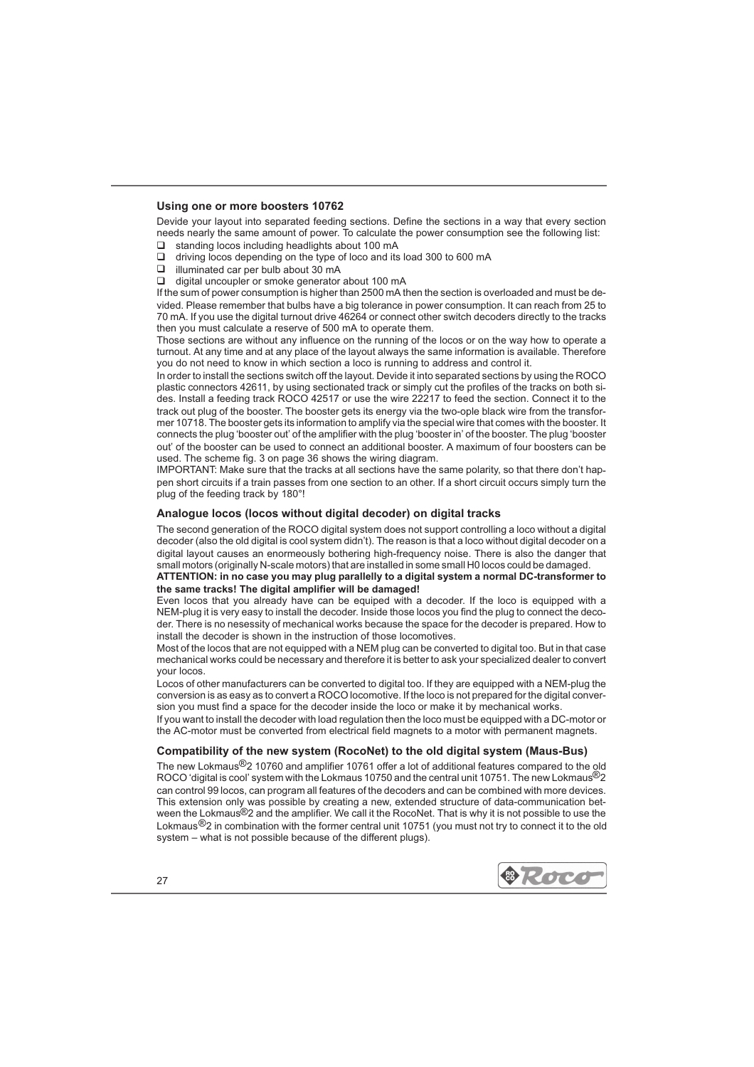#### **Using one or more boosters 10762**

Devide your layout into separated feeding sections. Define the sections in a way that every section needs nearly the same amount of power. To calculate the power consumption see the following list:

- $\Box$  standing locos including headlights about 100 mA
- $\Box$  driving locos depending on the type of loco and its load 300 to 600 mA
- $\Box$  illuminated car per bulb about 30 mA
- $\Box$  digital uncoupler or smoke generator about 100 mA

If the sum of power consumption is higher than 2500 mA then the section is overloaded and must be devided. Please remember that bulbs have a big tolerance in power consumption. It can reach from 25 to 70 mA. If you use the digital turnout drive 46264 or connect other switch decoders directly to the tracks then you must calculate a reserve of 500 mA to operate them.

Those sections are without any influence on the running of the locos or on the way how to operate a turnout. At any time and at any place of the layout always the same information is available. Therefore you do not need to know in which section a loco is running to address and control it.

In order to install the sections switch off the layout. Devide it into separated sections by using the ROCO plastic connectors 42611, by using sectionated track or simply cut the profiles of the tracks on both sides. Install a feeding track ROCO 42517 or use the wire 22217 to feed the section. Connect it to the track out plug of the booster. The booster gets its energy via the two-ople black wire from the transformer 10718. The booster gets its information to amplify via the special wire that comes with the booster. It connects the plug 'booster out' of the amplifier with the plug 'booster in' of the booster. The plug 'booster out' of the booster can be used to connect an additional booster. A maximum of four boosters can be used. The scheme fig. 3 on page 36 shows the wiring diagram.

IMPORTANT: Make sure that the tracks at all sections have the same polarity, so that there don't happen short circuits if a train passes from one section to an other. If a short circuit occurs simply turn the plug of the feeding track by 180°!

## **Analogue locos (locos without digital decoder) on digital tracks**

The second generation of the ROCO digital system does not support controlling a loco without a digital decoder (also the old digital is cool system didn't). The reason is that a loco without digital decoder on a digital layout causes an enormeously bothering high-frequency noise. There is also the danger that small motors (originally N-scale motors) that are installed in some small H0 locos could be damaged.

**ATTENTION: in no case you may plug parallelly to a digital system a normal DC-transformer to the same tracks! The digital amplifier will be damaged!**

Even locos that you already have can be equiped with a decoder. If the loco is equipped with a NEM-plug it is very easy to install the decoder. Inside those locos you find the plug to connect the decoder. There is no nesessity of mechanical works because the space for the decoder is prepared. How to install the decoder is shown in the instruction of those locomotives.

Most of the locos that are not equipped with a NEM plug can be converted to digital too. But in that case mechanical works could be necessary and therefore it is better to ask your specialized dealer to convert your locos.

Locos of other manufacturers can be converted to digital too. If they are equipped with a NEM-plug the conversion is as easy as to convert a ROCO locomotive. If the loco is not prepared for the digital conversion you must find a space for the decoder inside the loco or make it by mechanical works.

If you want to install the decoder with load regulation then the loco must be equipped with a DC-motor or the AC-motor must be converted from electrical field magnets to a motor with permanent magnets.

#### **Compatibility of the new system (RocoNet) to the old digital system (Maus-Bus)**

The new Lokmaus®2 10760 and amplifier 10761 offer a lot of additional features compared to the old ROCO 'digital is cool' system with the Lokmaus 10750 and the central unit 10751. The new Lokmaus<sup>®</sup>2 can control 99 locos, can program all features of the decoders and can be combined with more devices. This extension only was possible by creating a new, extended structure of data-communication between the Lokmaus<sup>®</sup>2 and the amplifier. We call it the RocoNet. That is why it is not possible to use the Lokmaus<sup>®</sup>2 in combination with the former central unit 10751 (you must not try to connect it to the old system – what is not possible because of the different plugs).



27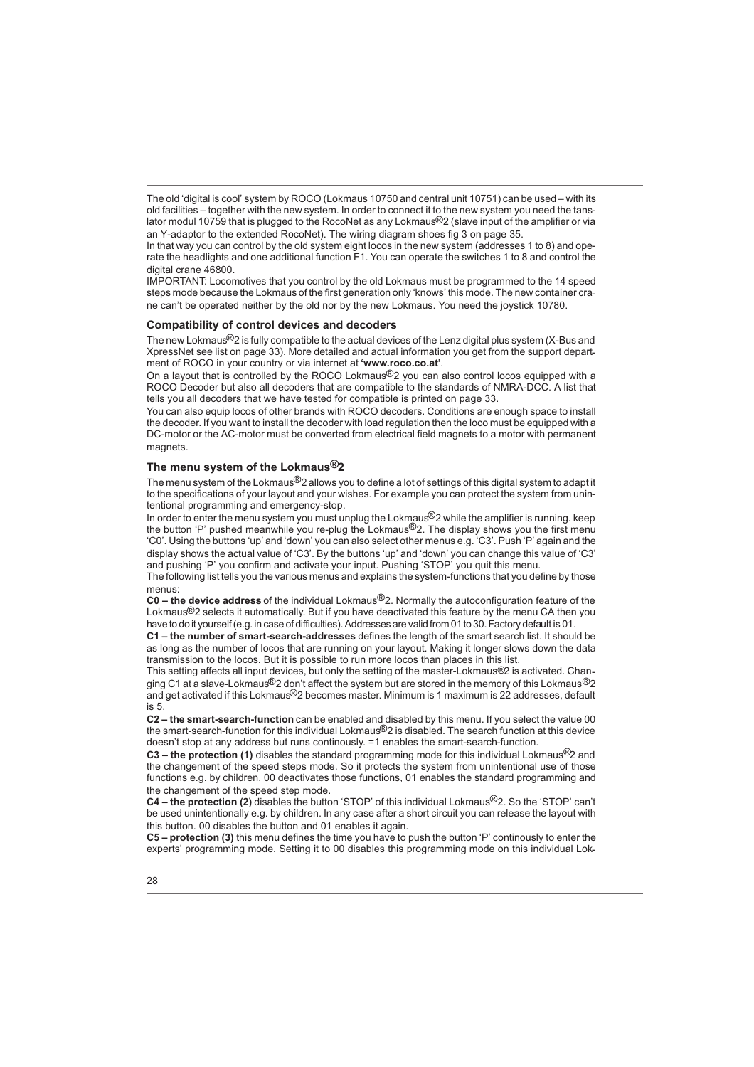The old 'digital is cool' system by ROCO (Lokmaus 10750 and central unit 10751) can be used – with its old facilities – together with the new system. In order to connect it to the new system you need the tanslator modul 10759 that is plugged to the RocoNet as any Lokmaus®2 (slave input of the amplifier or via an Y-adaptor to the extended RocoNet). The wiring diagram shoes fig 3 on page 35.

In that way you can control by the old system eight locos in the new system (addresses 1 to 8) and operate the headlights and one additional function F1. You can operate the switches 1 to 8 and control the digital crane 46800.

IMPORTANT: Locomotives that you control by the old Lokmaus must be programmed to the 14 speed steps mode because the Lokmaus of the first generation only 'knows' this mode. The new container crane can't be operated neither by the old nor by the new Lokmaus. You need the joystick 10780.

# **Compatibility of control devices and decoders**

The new Lokmaus<sup>®</sup>2 is fully compatible to the actual devices of the Lenz digital plus system (X-Bus and XpressNet see list on page 33). More detailed and actual information you get from the support department of ROCO in your country or via internet at **'www.roco.co.at'**.

On a layout that is controlled by the ROCO Lokmaus<sup>®</sup>2 you can also control locos equipped with a ROCO Decoder but also all decoders that are compatible to the standards of NMRA-DCC. A list that tells you all decoders that we have tested for compatible is printed on page 33.

You can also equip locos of other brands with ROCO decoders. Conditions are enough space to install the decoder. If you want to install the decoder with load regulation then the loco must be equipped with a DC-motor or the AC-motor must be converted from electrical field magnets to a motor with permanent magnets.

# **The menu system of the Lokmaus®2**

The menu system of the Lokmaus<sup>®</sup>2 allows you to define a lot of settings of this digital system to adapt it to the specifications of your layout and your wishes. For example you can protect the system from unintentional programming and emergency-stop.

In order to enter the menu system you must unplug the Lokmaus<sup>®</sup>2 while the amplifier is running. keep the button 'P' pushed meanwhile you re-plug the Lokmaus<sup>®</sup>2. The display shows you the first menu 'C0'. Using the buttons 'up' and 'down' you can also select other menus e.g. 'C3'. Push 'P' again and the display shows the actual value of 'C3'. By the buttons 'up' and 'down' you can change this value of 'C3' and pushing 'P' you confirm and activate your input. Pushing 'STOP' you quit this menu.

The following list tells you the various menus and explains the system-functions that you define by those menus:

**C0 – the device address** of the individual Lokmaus®2. Normally the autoconfiguration feature of the Lokmaus®2 selects it automatically. But if you have deactivated this feature by the menu CA then you have to do it yourself (e.g. in case of difficulties). Addresses are valid from 01 to 30. Factory default is 01.

**C1 – the number of smart-search-addresses** defines the length of the smart search list. It should be as long as the number of locos that are running on your layout. Making it longer slows down the data transmission to the locos. But it is possible to run more locos than places in this list.

This setting affects all input devices, but only the setting of the master-Lokmaus®2 is activated. Changing C1 at a slave-Lokmaus<sup>®</sup>2 don't affect the system but are stored in the memory of this Lokmaus<sup>®</sup>2 and get activated if this Lokmaus®2 becomes master. Minimum is 1 maximum is 22 addresses, default is 5.

**C2 – the smart-search-function** can be enabled and disabled by this menu. If you select the value 00 the smart-search-function for this individual Lokmaus<sup>®</sup>2 is disabled. The search function at this device doesn't stop at any address but runs continously. =1 enables the smart-search-function.

**C3 – the protection (1)** disables the standard programming mode for this individual Lokmaus®2 and the changement of the speed steps mode. So it protects the system from unintentional use of those functions e.g. by children. 00 deactivates those functions, 01 enables the standard programming and the changement of the speed step mode.

**C4 – the protection (2)** disables the button 'STOP' of this individual Lokmaus®2. So the 'STOP' can't be used unintentionally e.g. by children. In any case after a short circuit you can release the layout with this button. 00 disables the button and 01 enables it again.

**C5 – protection (3)** this menu defines the time you have to push the button 'P' continously to enter the experts' programming mode. Setting it to 00 disables this programming mode on this individual Lok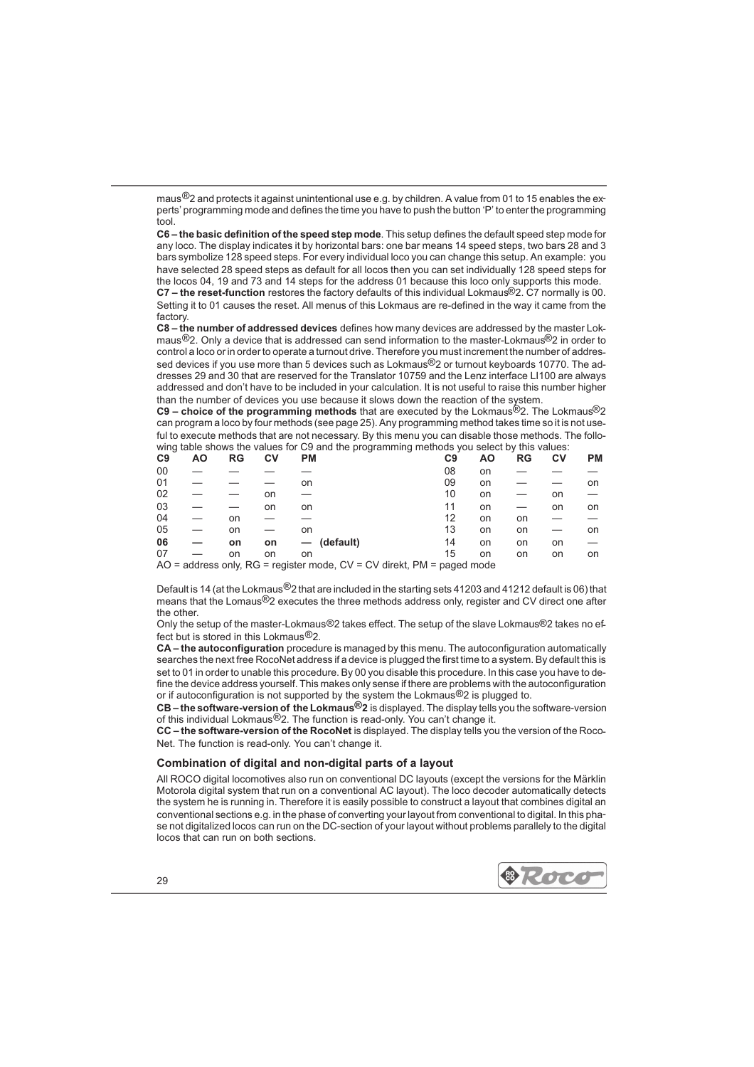maus<sup>®</sup>2 and protects it against unintentional use e.g. by children. A value from 01 to 15 enables the experts' programming mode and defines the time you have to push the button 'P' to enter the programming tool.

**C6 – the basic definition of the speed step mode**. This setup defines the default speed step mode for any loco. The display indicates it by horizontal bars: one bar means 14 speed steps, two bars 28 and 3 bars symbolize 128 speed steps. For every individual loco you can change this setup. An example: you have selected 28 speed steps as default for all locos then you can set individually 128 speed steps for the locos 04, 19 and 73 and 14 steps for the address 01 because this loco only supports this mode.

**C7 – the reset-function** restores the factory defaults of this individual Lokmaus®2. C7 normally is 00. Setting it to 01 causes the reset. All menus of this Lokmaus are re-defined in the way it came from the factory.

**C8 – the number of addressed devices** defines how many devices are addressed by the master Lokmaus<sup>®</sup>2. Only a device that is addressed can send information to the master-Lokmaus<sup>®</sup>2 in order to control a loco or in order to operate a turnout drive. Therefore you must increment the number of addressed devices if you use more than 5 devices such as Lokmaus<sup>®</sup>2 or turnout keyboards 10770. The addresses 29 and 30 that are reserved for the Translator 10759 and the Lenz interface LI100 are always addressed and don't have to be included in your calculation. It is not useful to raise this number higher

than the number of devices you use because it slows down the reaction of the system. **C9 – choice of the programming methods** that are executed by the Lokmaus®2. The Lokmaus®2 can program a loco by four methods (see page 25). Any programming method takes time so it is not useful to execute methods that are not necessary. By this menu you can disable those methods. The follo-

|                |    |           |    | wing table shows the values for C9 and the programming methods you select by this values: |    |    |    |    |           |
|----------------|----|-----------|----|-------------------------------------------------------------------------------------------|----|----|----|----|-----------|
| C <sub>9</sub> | ΑO | <b>RG</b> | СV | РM                                                                                        | C9 | ΑO | RG | СV | <b>PM</b> |
| 00             |    |           |    |                                                                                           | 08 | on |    |    |           |
| 01             |    |           |    | on                                                                                        | 09 | on |    |    | on        |
| 02             |    |           | on |                                                                                           | 10 | on |    | on |           |
| 03             |    |           | on | on                                                                                        | 11 | on |    | on | on        |
| 04             |    | on        |    |                                                                                           | 12 | on | on |    |           |
| 05             |    | on        |    | on                                                                                        | 13 | on | on |    | on        |
| 06             |    | on        | on | (default)<br>—                                                                            | 14 | on | on | on |           |
| 07             |    | on        | on | on                                                                                        | 15 | on | on | on | on        |
|                |    |           |    |                                                                                           |    |    |    |    |           |

 $AO =$  address only,  $RG =$  register mode,  $CV = CV$  direkt,  $PM =$  paged mode

Default is 14 (at the Lokmaus<sup>®</sup>2 that are included in the starting sets 41203 and 41212 default is 06) that means that the Lomaus<sup>®</sup>2 executes the three methods address only, register and CV direct one after the other.

Only the setup of the master-Lokmaus®2 takes effect. The setup of the slave Lokmaus®2 takes no effect but is stored in this Lokmaus®2.

**CA – the autoconfiguration** procedure is managed by this menu. The autoconfiguration automatically searches the next free RocoNet address if a device is plugged the first time to a system. By default this is set to 01 in order to unable this procedure. By 00 you disable this procedure. In this case you have to define the device address yourself. This makes only sense if there are problems with the autoconfiguration or if autoconfiguration is not supported by the system the Lokmaus®2 is plugged to.

**CB – the software-version of the Lokmaus®2** is displayed. The display tells you the software-version of this individual Lokmaus®2. The function is read-only. You can't change it.

**CC – the software-version of the RocoNet** is displayed. The display tells you the version of the Roco-Net. The function is read-only. You can't change it.

#### **Combination of digital and non-digital parts of a layout**

All ROCO digital locomotives also run on conventional DC layouts (except the versions for the Märklin Motorola digital system that run on a conventional AC layout). The loco decoder automatically detects the system he is running in. Therefore it is easily possible to construct a layout that combines digital an conventional sections e.g. in the phase of converting your layout from conventional to digital. In this phase not digitalized locos can run on the DC-section of your layout without problems parallely to the digital locos that can run on both sections.



29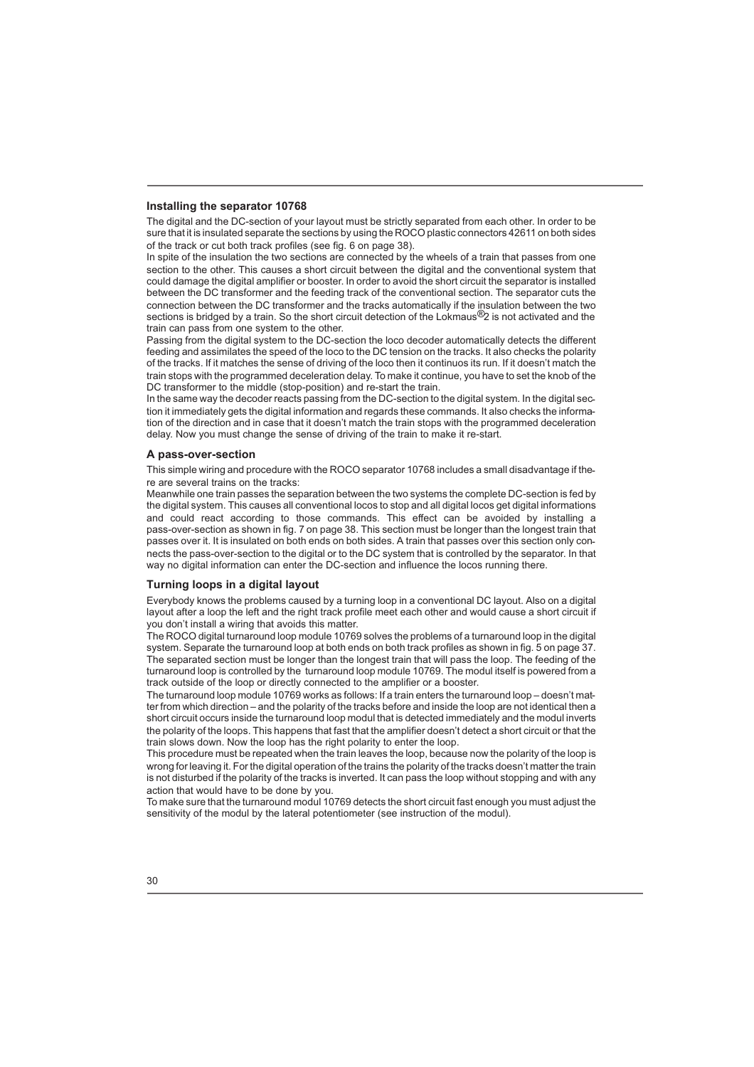#### **Installing the separator 10768**

The digital and the DC-section of your layout must be strictly separated from each other. In order to be sure that it is insulated separate the sections by using the ROCO plastic connectors 42611 on both sides of the track or cut both track profiles (see fig. 6 on page 38).

In spite of the insulation the two sections are connected by the wheels of a train that passes from one section to the other. This causes a short circuit between the digital and the conventional system that could damage the digital amplifier or booster. In order to avoid the short circuit the separator is installed between the DC transformer and the feeding track of the conventional section. The separator cuts the connection between the DC transformer and the tracks automatically if the insulation between the two sections is bridged by a train. So the short circuit detection of the Lokmaus®2 is not activated and the train can pass from one system to the other.

Passing from the digital system to the DC-section the loco decoder automatically detects the different feeding and assimilates the speed of the loco to the DC tension on the tracks. It also checks the polarity of the tracks. If it matches the sense of driving of the loco then it continuos its run. If it doesn't match the train stops with the programmed deceleration delay. To make it continue, you have to set the knob of the DC transformer to the middle (stop-position) and re-start the train.

In the same way the decoder reacts passing from the DC-section to the digital system. In the digital section it immediately gets the digital information and regards these commands. It also checks the information of the direction and in case that it doesn't match the train stops with the programmed deceleration delay. Now you must change the sense of driving of the train to make it re-start.

#### **A pass-over-section**

This simple wiring and procedure with the ROCO separator 10768 includes a small disadvantage if there are several trains on the tracks:

Meanwhile one train passes the separation between the two systems the complete DC-section is fed by the digital system. This causes all conventional locos to stop and all digital locos get digital informations and could react according to those commands. This effect can be avoided by installing a pass-over-section as shown in fig. 7 on page 38. This section must be longer than the longest train that passes over it. It is insulated on both ends on both sides. A train that passes over this section only connects the pass-over-section to the digital or to the DC system that is controlled by the separator. In that way no digital information can enter the DC-section and influence the locos running there.

#### **Turning loops in a digital layout**

Everybody knows the problems caused by a turning loop in a conventional DC layout. Also on a digital layout after a loop the left and the right track profile meet each other and would cause a short circuit if you don't install a wiring that avoids this matter.

The ROCO digital turnaround loop module 10769 solves the problems of a turnaround loop in the digital system. Separate the turnaround loop at both ends on both track profiles as shown in fig. 5 on page 37. The separated section must be longer than the longest train that will pass the loop. The feeding of the turnaround loop is controlled by the turnaround loop module 10769. The modul itself is powered from a track outside of the loop or directly connected to the amplifier or a booster.

The turnaround loop module 10769 works as follows: If a train enters the turnaround loop – doesn't matter from which direction – and the polarity of the tracks before and inside the loop are not identical then a short circuit occurs inside the turnaround loop modul that is detected immediately and the modul inverts the polarity of the loops. This happens that fast that the amplifier doesn't detect a short circuit or that the train slows down. Now the loop has the right polarity to enter the loop.

This procedure must be repeated when the train leaves the loop, because now the polarity of the loop is wrong for leaving it. For the digital operation of the trains the polarity of the tracks doesn't matter the train is not disturbed if the polarity of the tracks is inverted. It can pass the loop without stopping and with any action that would have to be done by you.

To make sure that the turnaround modul 10769 detects the short circuit fast enough you must adjust the sensitivity of the modul by the lateral potentiometer (see instruction of the modul).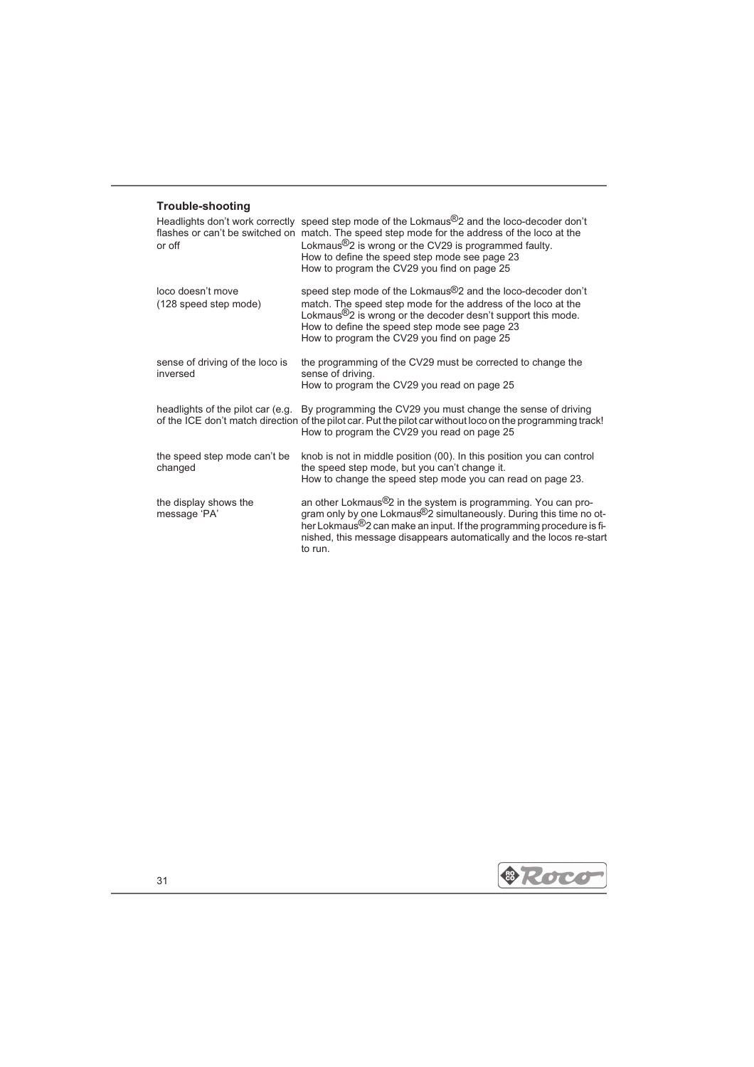# **Trouble-shooting**

| or off                                      | Headlights don't work correctly speed step mode of the Lokmaus <sup>®</sup> 2 and the loco-decoder don't<br>flashes or can't be switched on match. The speed step mode for the address of the loco at the<br>Lokmaus ${}^{\circledR}$ 2 is wrong or the CV29 is programmed faulty.<br>How to define the speed step mode see page 23<br>How to program the CV29 you find on page 25 |
|---------------------------------------------|------------------------------------------------------------------------------------------------------------------------------------------------------------------------------------------------------------------------------------------------------------------------------------------------------------------------------------------------------------------------------------|
| loco doesn't move<br>(128 speed step mode)  | speed step mode of the Lokmaus <sup>®</sup> 2 and the loco-decoder don't<br>match. The speed step mode for the address of the loco at the<br>Lokmaus ${}^{\circledR}$ 2 is wrong or the decoder desn't support this mode.<br>How to define the speed step mode see page 23<br>How to program the CV29 you find on page 25                                                          |
| sense of driving of the loco is<br>inversed | the programming of the CV29 must be corrected to change the<br>sense of driving.<br>How to program the CV29 you read on page 25                                                                                                                                                                                                                                                    |
| headlights of the pilot car (e.g.           | By programming the CV29 you must change the sense of driving<br>of the ICE don't match direction of the pilot car. Put the pilot car without loco on the programming track!<br>How to program the CV29 you read on page 25                                                                                                                                                         |
| the speed step mode can't be<br>changed     | knob is not in middle position (00). In this position you can control<br>the speed step mode, but you can't change it.<br>How to change the speed step mode you can read on page 23.                                                                                                                                                                                               |
| the display shows the<br>message 'PA'       | an other Lokmaus <sup>®</sup> 2 in the system is programming. You can pro-<br>gram only by one Lokmaus <sup>®</sup> 2 simultaneously. During this time no ot-<br>her Lokmaus <sup>®</sup> 2 can make an input. If the programming procedure is fi-<br>nished, this message disappears automatically and the locos re-start<br>to run.                                              |

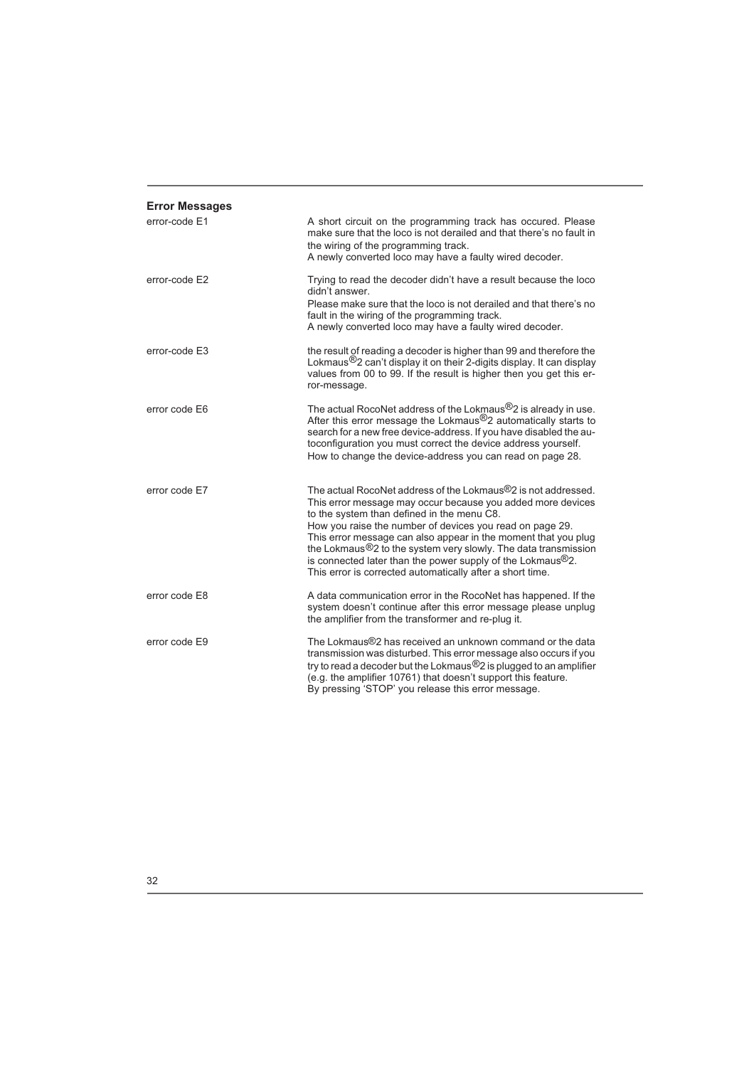| <b>Error Messages</b> |                                                                                                                                                                                                                                                                                                                                                                                                                                                                                                                        |
|-----------------------|------------------------------------------------------------------------------------------------------------------------------------------------------------------------------------------------------------------------------------------------------------------------------------------------------------------------------------------------------------------------------------------------------------------------------------------------------------------------------------------------------------------------|
| error-code E1         | A short circuit on the programming track has occured. Please<br>make sure that the loco is not derailed and that there's no fault in<br>the wiring of the programming track.<br>A newly converted loco may have a faulty wired decoder.                                                                                                                                                                                                                                                                                |
| error-code E2         | Trying to read the decoder didn't have a result because the loco<br>didn't answer.<br>Please make sure that the loco is not derailed and that there's no<br>fault in the wiring of the programming track.<br>A newly converted loco may have a faulty wired decoder.                                                                                                                                                                                                                                                   |
| error-code E3         | the result of reading a decoder is higher than 99 and therefore the<br>Lokmaus ${}^{\circledR}$ 2 can't display it on their 2-digits display. It can display<br>values from 00 to 99. If the result is higher then you get this er-<br>ror-message.                                                                                                                                                                                                                                                                    |
| error code E6         | The actual RocoNet address of the Lokmaus <sup>®</sup> 2 is already in use.<br>After this error message the Lokmaus <sup>®</sup> 2 automatically starts to<br>search for a new free device-address. If you have disabled the au-<br>toconfiguration you must correct the device address yourself.<br>How to change the device-address you can read on page 28.                                                                                                                                                         |
| error code E7         | The actual RocoNet address of the Lokmaus®2 is not addressed.<br>This error message may occur because you added more devices<br>to the system than defined in the menu C8.<br>How you raise the number of devices you read on page 29.<br>This error message can also appear in the moment that you plug<br>the Lokmaus®2 to the system very slowly. The data transmission<br>is connected later than the power supply of the Lokmaus ${}^{\circledR}$ 2.<br>This error is corrected automatically after a short time. |
| error code E8         | A data communication error in the RocoNet has happened. If the<br>system doesn't continue after this error message please unplug<br>the amplifier from the transformer and re-plug it.                                                                                                                                                                                                                                                                                                                                 |
| error code E9         | The Lokmaus <sup>®</sup> 2 has received an unknown command or the data<br>transmission was disturbed. This error message also occurs if you<br>try to read a decoder but the Lokmaus $@2$ is plugged to an amplifier<br>(e.g. the amplifier 10761) that doesn't support this feature.<br>By pressing 'STOP' you release this error message.                                                                                                                                                                            |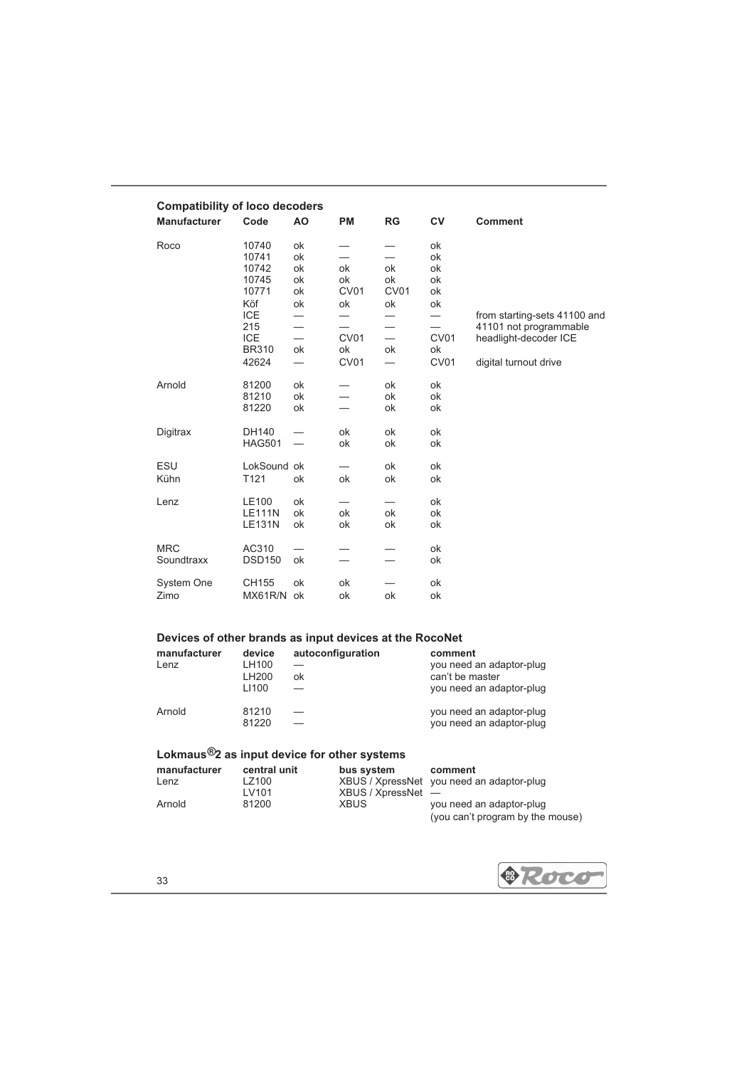| <b>Compatibility of loco decoders</b> |                                                                                                              |                                        |                                                                      |                                                                      |                                                                                |                                                                                                          |
|---------------------------------------|--------------------------------------------------------------------------------------------------------------|----------------------------------------|----------------------------------------------------------------------|----------------------------------------------------------------------|--------------------------------------------------------------------------------|----------------------------------------------------------------------------------------------------------|
| <b>Manufacturer</b>                   | Code                                                                                                         | AO                                     | <b>PM</b>                                                            | <b>RG</b>                                                            | <b>CV</b>                                                                      | <b>Comment</b>                                                                                           |
| Roco                                  | 10740<br>10741<br>10742<br>10745<br>10771<br>Köf<br><b>ICE</b><br>215<br><b>ICE</b><br><b>BR310</b><br>42624 | ok<br>ok<br>ok<br>ok<br>ok<br>ok<br>ok | ok<br>ok<br>CV <sub>01</sub><br>ok<br>CV <sub>01</sub><br>ok<br>CV01 | ok<br>ok<br>CV <sub>01</sub><br>ok<br>$\overline{\phantom{0}}$<br>ok | ok<br>ok<br>ok<br>ok<br>ok<br>ok<br>CV <sub>01</sub><br>ok<br>CV <sub>01</sub> | from starting-sets 41100 and<br>41101 not programmable<br>headlight-decoder ICE<br>digital turnout drive |
| Arnold                                | 81200<br>81210<br>81220                                                                                      | ok<br>ok<br>ok                         |                                                                      | ok<br>ok<br>ok                                                       | ok<br>ok<br>ok                                                                 |                                                                                                          |
| Digitrax                              | <b>DH140</b><br><b>HAG501</b>                                                                                |                                        | ok<br>ok                                                             | ok<br>ok                                                             | ok<br>ok                                                                       |                                                                                                          |
| <b>ESU</b><br>Kühn                    | LokSound ok<br>T121                                                                                          | ok                                     | ok                                                                   | ok<br>ok                                                             | ok<br>ok                                                                       |                                                                                                          |
| Lenz                                  | LE100<br><b>LE111N</b><br><b>LE131N</b>                                                                      | ok<br>ok<br>ok                         | ok<br>ok                                                             | ok<br>ok                                                             | ok<br>ok<br>ok                                                                 |                                                                                                          |
| <b>MRC</b><br>Soundtraxx              | AC310<br><b>DSD150</b>                                                                                       | ok                                     |                                                                      |                                                                      | ok<br>ok                                                                       |                                                                                                          |
| System One<br>Zimo                    | CH155<br>MX61R/N                                                                                             | ok<br>ok                               | ok<br>ok                                                             | ok                                                                   | ok<br>ok                                                                       |                                                                                                          |

# **Devices of other brands as input devices at the RocoNet**

| manufacturer<br>Lenz | device<br>LH100<br>LH200<br>LI100 | autoconfiguration<br>ok | comment<br>you need an adaptor-plug<br>can't be master<br>you need an adaptor-plug |
|----------------------|-----------------------------------|-------------------------|------------------------------------------------------------------------------------|
| Arnold               | 81210<br>81220                    |                         | you need an adaptor-plug<br>you need an adaptor-plug                               |

# **Lokmaus®2 as input device for other systems**

| manufacturer | central unit | bus svstem           | comment                                   |
|--------------|--------------|----------------------|-------------------------------------------|
| Lenz         | LZ100        |                      | XBUS / XpressNet you need an adaptor-plug |
|              | LV101        | $XBUS / XpressNet -$ |                                           |
| Arnold       | 81200        | <b>XBUS</b>          | you need an adaptor-plug                  |
|              |              |                      | (you can't program by the mouse)          |